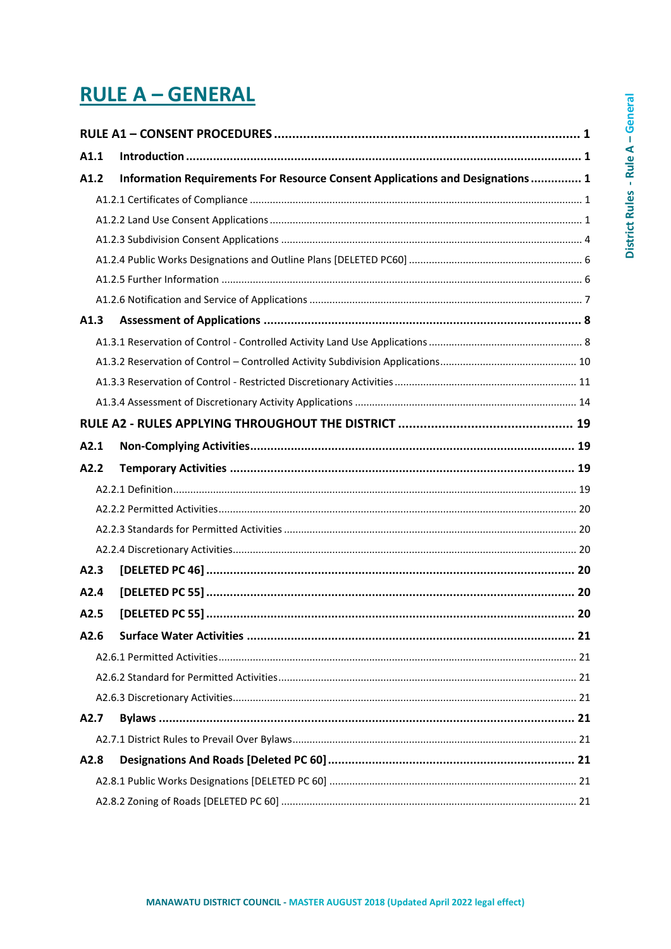# District Rules - Rule A - General

# **RULE A - GENERAL**

| A1.1 |                                                                               |  |
|------|-------------------------------------------------------------------------------|--|
| A1.2 | Information Requirements For Resource Consent Applications and Designations 1 |  |
|      |                                                                               |  |
|      |                                                                               |  |
|      |                                                                               |  |
|      |                                                                               |  |
|      |                                                                               |  |
|      |                                                                               |  |
| A1.3 |                                                                               |  |
|      |                                                                               |  |
|      |                                                                               |  |
|      |                                                                               |  |
|      |                                                                               |  |
|      |                                                                               |  |
| A2.1 |                                                                               |  |
| A2.2 |                                                                               |  |
|      |                                                                               |  |
|      |                                                                               |  |
|      |                                                                               |  |
|      |                                                                               |  |
| A2.3 |                                                                               |  |
| A2.4 |                                                                               |  |
| A2.5 |                                                                               |  |
| A2.6 |                                                                               |  |
|      |                                                                               |  |
|      |                                                                               |  |
|      |                                                                               |  |
| A2.7 |                                                                               |  |
|      |                                                                               |  |
| A2.8 |                                                                               |  |
|      |                                                                               |  |
|      |                                                                               |  |
|      |                                                                               |  |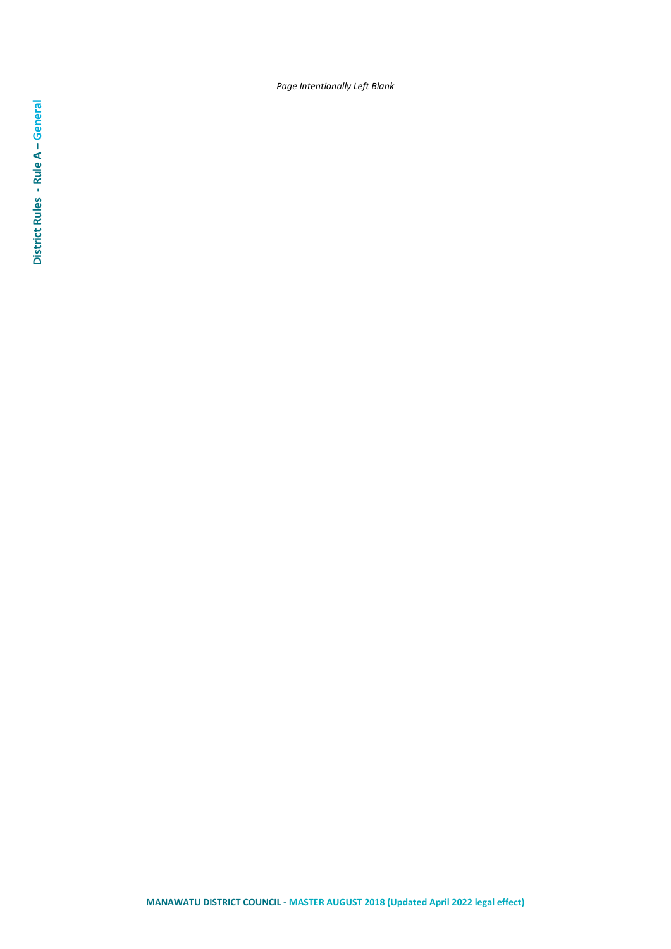*Page Intentionally Left Blank*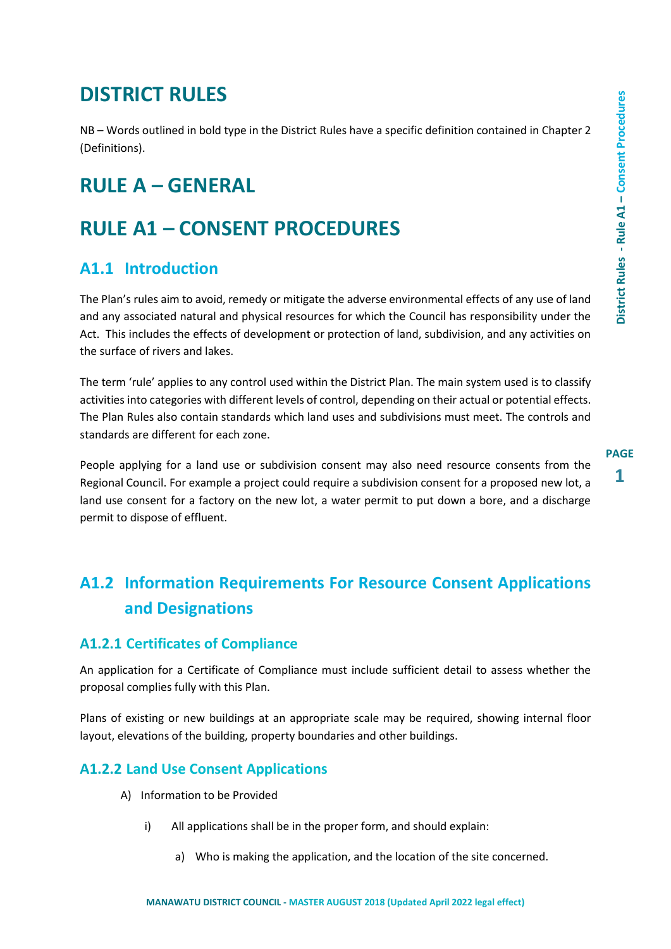# **DISTRICT RULES**

NB – Words outlined in bold type in the District Rules have a specific definition contained in Chapter 2 (Definitions).

# **RULE A – GENERAL**

# <span id="page-4-0"></span>**RULE A1 – CONSENT PROCEDURES**

## <span id="page-4-1"></span>**A1.1 Introduction**

The Plan's rules aim to avoid, remedy or mitigate the adverse environmental effects of any use of land and any associated natural and physical resources for which the Council has responsibility under the Act. This includes the effects of development or protection of land, subdivision, and any activities on the surface of rivers and lakes.

The term 'rule' applies to any control used within the District Plan. The main system used is to classify activities into categories with different levels of control, depending on their actual or potential effects. The Plan Rules also contain standards which land uses and subdivisions must meet. The controls and standards are different for each zone.

People applying for a land use or subdivision consent may also need resource consents from the Regional Council. For example a project could require a subdivision consent for a proposed new lot, a land use consent for a factory on the new lot, a water permit to put down a bore, and a discharge permit to dispose of effluent.

## <span id="page-4-2"></span>**A1.2 Information Requirements For Resource Consent Applications and Designations**

## <span id="page-4-3"></span>**A1.2.1 Certificates of Compliance**

An application for a Certificate of Compliance must include sufficient detail to assess whether the proposal complies fully with this Plan.

Plans of existing or new buildings at an appropriate scale may be required, showing internal floor layout, elevations of the building, property boundaries and other buildings.

## <span id="page-4-4"></span>**A1.2.2 Land Use Consent Applications**

- A) Information to be Provided
	- i) All applications shall be in the proper form, and should explain:
		- a) Who is making the application, and the location of the site concerned.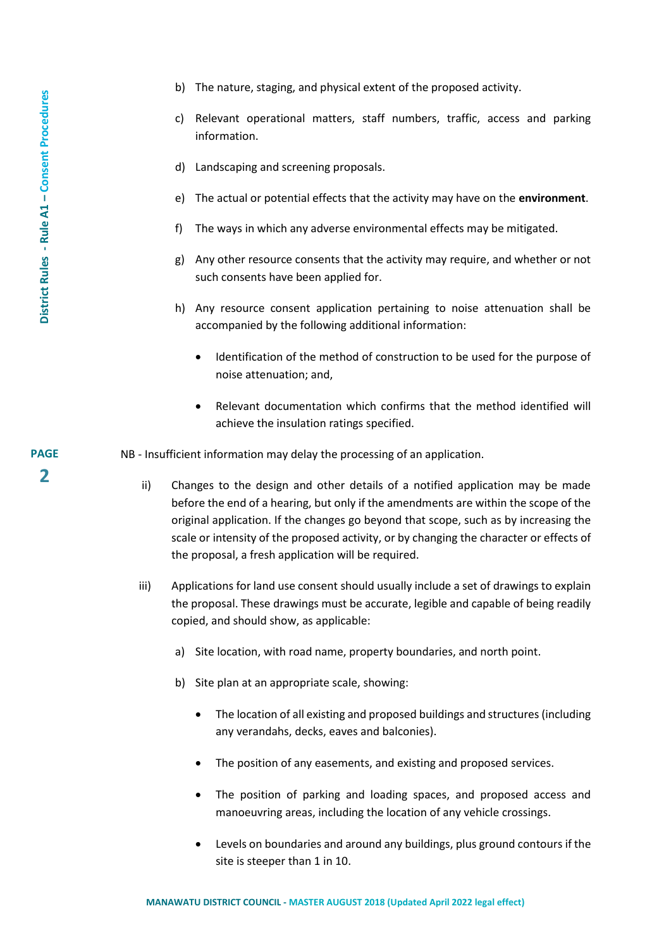- b) The nature, staging, and physical extent of the proposed activity.
- c) Relevant operational matters, staff numbers, traffic, access and parking information.
- d) Landscaping and screening proposals.
- e) The actual or potential effects that the activity may have on the **environment**.
- f) The ways in which any adverse environmental effects may be mitigated.
- g) Any other resource consents that the activity may require, and whether or not such consents have been applied for.
- h) Any resource consent application pertaining to noise attenuation shall be accompanied by the following additional information:
	- Identification of the method of construction to be used for the purpose of noise attenuation; and,
	- Relevant documentation which confirms that the method identified will achieve the insulation ratings specified.
- NB Insufficient information may delay the processing of an application.
	- ii) Changes to the design and other details of a notified application may be made before the end of a hearing, but only if the amendments are within the scope of the original application. If the changes go beyond that scope, such as by increasing the scale or intensity of the proposed activity, or by changing the character or effects of the proposal, a fresh application will be required.
	- iii) Applications for land use consent should usually include a set of drawings to explain the proposal. These drawings must be accurate, legible and capable of being readily copied, and should show, as applicable:
		- a) Site location, with road name, property boundaries, and north point.
		- b) Site plan at an appropriate scale, showing:
			- The location of all existing and proposed buildings and structures (including any verandahs, decks, eaves and balconies).
			- The position of any easements, and existing and proposed services.
			- The position of parking and loading spaces, and proposed access and manoeuvring areas, including the location of any vehicle crossings.
			- Levels on boundaries and around any buildings, plus ground contours if the site is steeper than 1 in 10.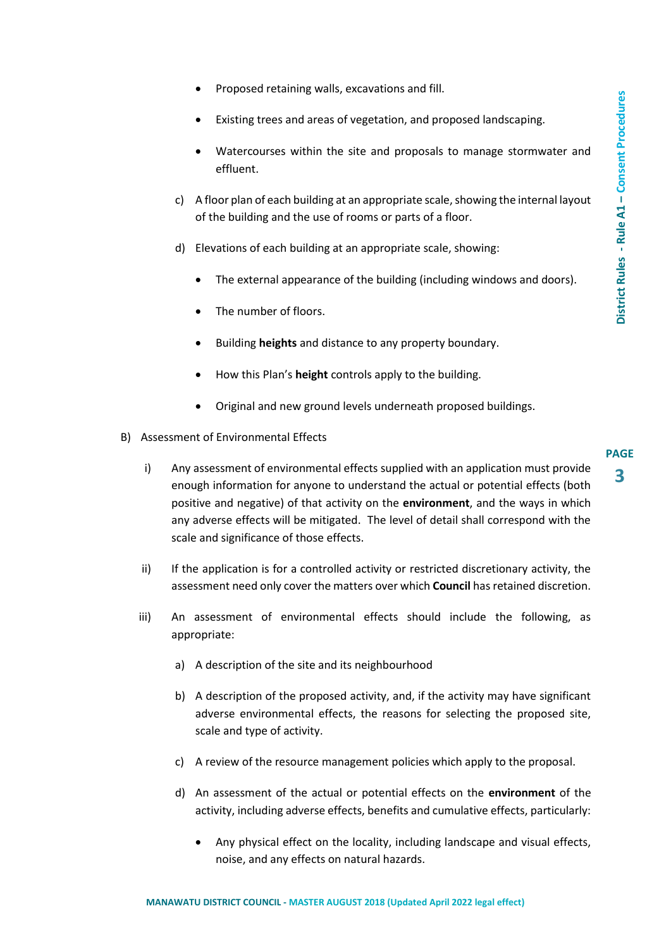- Proposed retaining walls, excavations and fill.
- Existing trees and areas of vegetation, and proposed landscaping.
- Watercourses within the site and proposals to manage stormwater and effluent.
- c) A floor plan of each building at an appropriate scale, showing the internal layout of the building and the use of rooms or parts of a floor.
- d) Elevations of each building at an appropriate scale, showing:
	- The external appearance of the building (including windows and doors).
	- The number of floors.
	- Building **heights** and distance to any property boundary.
	- How this Plan's **height** controls apply to the building.
	- Original and new ground levels underneath proposed buildings.
- B) Assessment of Environmental Effects
	- i) Any assessment of environmental effects supplied with an application must provide enough information for anyone to understand the actual or potential effects (both positive and negative) of that activity on the **environment**, and the ways in which any adverse effects will be mitigated. The level of detail shall correspond with the scale and significance of those effects.
	- ii) If the application is for a controlled activity or restricted discretionary activity, the assessment need only cover the matters over which **Council** has retained discretion.
	- iii) An assessment of environmental effects should include the following, as appropriate:
		- a) A description of the site and its neighbourhood
		- b) A description of the proposed activity, and, if the activity may have significant adverse environmental effects, the reasons for selecting the proposed site, scale and type of activity.
		- c) A review of the resource management policies which apply to the proposal.
		- d) An assessment of the actual or potential effects on the **environment** of the activity, including adverse effects, benefits and cumulative effects, particularly:
			- Any physical effect on the locality, including landscape and visual effects, noise, and any effects on natural hazards.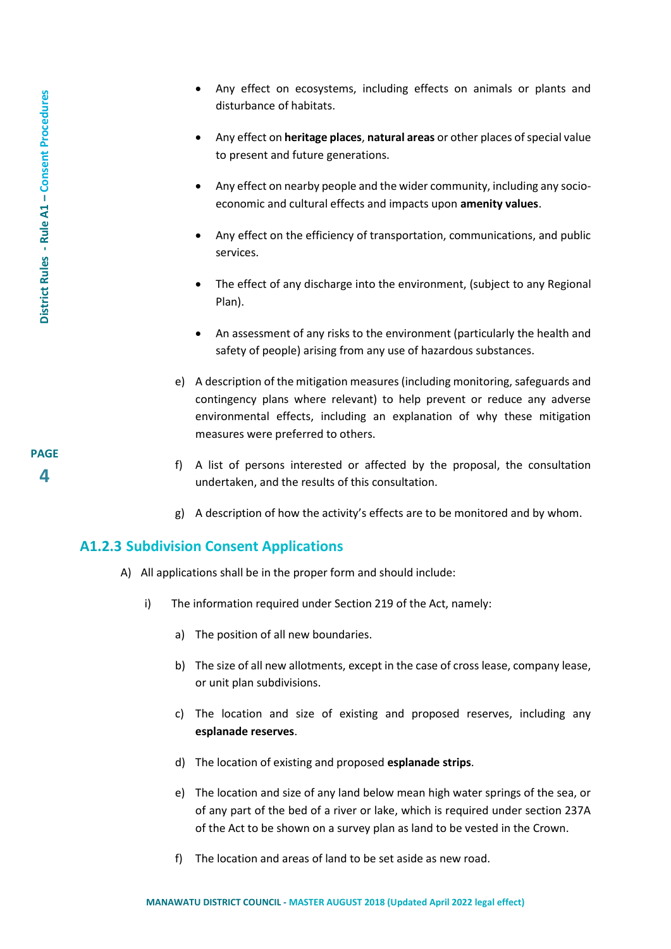- Any effect on ecosystems, including effects on animals or plants and disturbance of habitats.
- Any effect on **heritage places**, **natural areas** or other places of special value to present and future generations.
- Any effect on nearby people and the wider community, including any socioeconomic and cultural effects and impacts upon **amenity values**.
- Any effect on the efficiency of transportation, communications, and public services.
- The effect of any discharge into the environment, (subject to any Regional Plan).
- An assessment of any risks to the environment (particularly the health and safety of people) arising from any use of hazardous substances.
- e) A description of the mitigation measures (including monitoring, safeguards and contingency plans where relevant) to help prevent or reduce any adverse environmental effects, including an explanation of why these mitigation measures were preferred to others.
- f) A list of persons interested or affected by the proposal, the consultation undertaken, and the results of this consultation.
- g) A description of how the activity's effects are to be monitored and by whom.

## <span id="page-7-0"></span>**A1.2.3 Subdivision Consent Applications**

- A) All applications shall be in the proper form and should include:
	- i) The information required under Section 219 of the Act, namely:
		- a) The position of all new boundaries.
		- b) The size of all new allotments, except in the case of cross lease, company lease, or unit plan subdivisions.
		- c) The location and size of existing and proposed reserves, including any **esplanade reserves**.
		- d) The location of existing and proposed **esplanade strips**.
		- e) The location and size of any land below mean high water springs of the sea, or of any part of the bed of a river or lake, which is required under section 237A of the Act to be shown on a survey plan as land to be vested in the Crown.
		- f) The location and areas of land to be set aside as new road.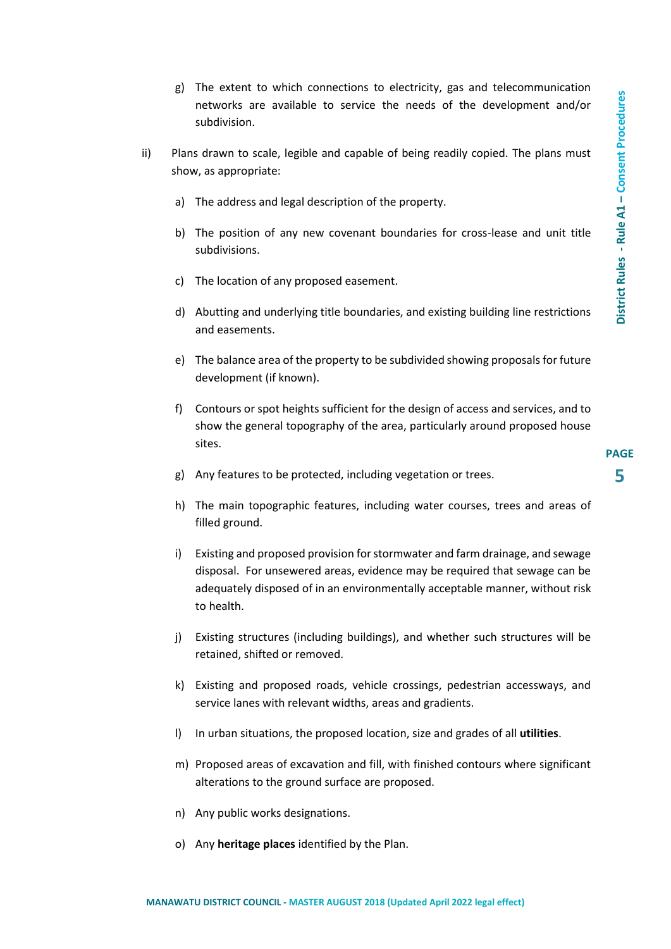- g) The extent to which connections to electricity, gas and telecommunication networks are available to service the needs of the development and/or subdivision.
- ii) Plans drawn to scale, legible and capable of being readily copied. The plans must show, as appropriate:
	- a) The address and legal description of the property.
	- b) The position of any new covenant boundaries for cross-lease and unit title subdivisions.
	- c) The location of any proposed easement.
	- d) Abutting and underlying title boundaries, and existing building line restrictions and easements.
	- e) The balance area of the property to be subdivided showing proposals for future development (if known).
	- f) Contours or spot heights sufficient for the design of access and services, and to show the general topography of the area, particularly around proposed house sites.
	- g) Any features to be protected, including vegetation or trees.
	- h) The main topographic features, including water courses, trees and areas of filled ground.
	- i) Existing and proposed provision for stormwater and farm drainage, and sewage disposal. For unsewered areas, evidence may be required that sewage can be adequately disposed of in an environmentally acceptable manner, without risk to health.
	- j) Existing structures (including buildings), and whether such structures will be retained, shifted or removed.
	- k) Existing and proposed roads, vehicle crossings, pedestrian accessways, and service lanes with relevant widths, areas and gradients.
	- l) In urban situations, the proposed location, size and grades of all **utilities**.
	- m) Proposed areas of excavation and fill, with finished contours where significant alterations to the ground surface are proposed.
	- n) Any public works designations.
	- o) Any **heritage places** identified by the Plan.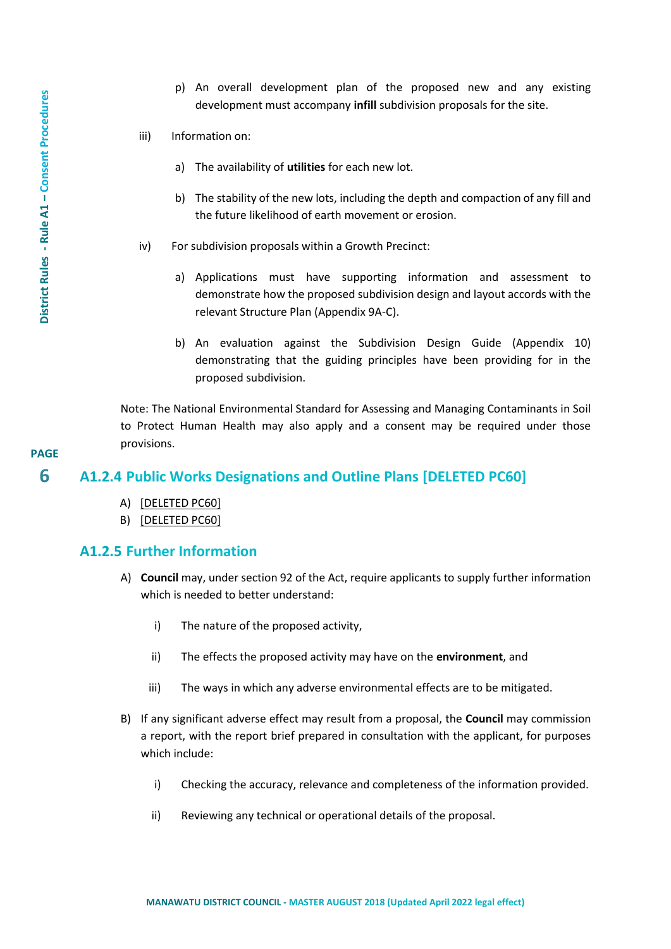- p) An overall development plan of the proposed new and any existing development must accompany **infill** subdivision proposals for the site.
- iii) Information on:
	- a) The availability of **utilities** for each new lot.
	- b) The stability of the new lots, including the depth and compaction of any fill and the future likelihood of earth movement or erosion.
- iv) For subdivision proposals within a Growth Precinct:
	- a) Applications must have supporting information and assessment to demonstrate how the proposed subdivision design and layout accords with the relevant Structure Plan (Appendix 9A-C).
	- b) An evaluation against the Subdivision Design Guide (Appendix 10) demonstrating that the guiding principles have been providing for in the proposed subdivision.

Note: The National Environmental Standard for Assessing and Managing Contaminants in Soil to Protect Human Health may also apply and a consent may be required under those provisions.

#### <span id="page-9-0"></span>**6 A1.2.4 Public Works Designations and Outline Plans [DELETED PC60]**

- A) [DELETED PC60]
- B) [DELETED PC60]

## <span id="page-9-1"></span>**A1.2.5 Further Information**

- A) **Council** may, under section 92 of the Act, require applicants to supply further information which is needed to better understand:
	- i) The nature of the proposed activity,
	- ii) The effects the proposed activity may have on the **environment**, and
	- iii) The ways in which any adverse environmental effects are to be mitigated.
- B) If any significant adverse effect may result from a proposal, the **Council** may commission a report, with the report brief prepared in consultation with the applicant, for purposes which include:
	- i) Checking the accuracy, relevance and completeness of the information provided.
	- ii) Reviewing any technical or operational details of the proposal.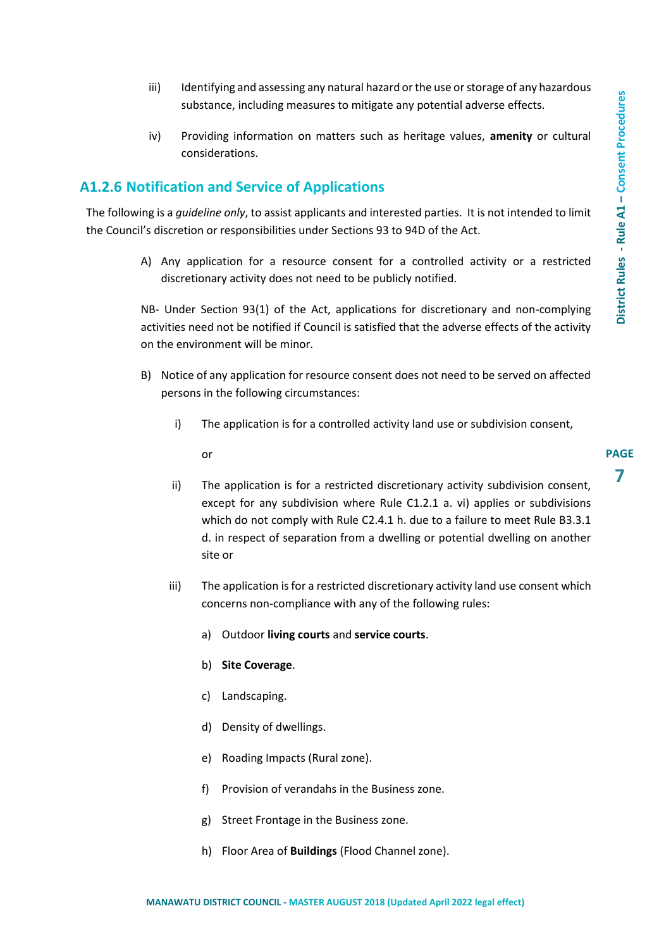- iii) Identifying and assessing any natural hazard or the use or storage of any hazardous substance, including measures to mitigate any potential adverse effects.
- iv) Providing information on matters such as heritage values, **amenity** or cultural considerations.

## <span id="page-10-0"></span>**A1.2.6 Notification and Service of Applications**

The following is a *guideline only*, to assist applicants and interested parties. It is not intended to limit the Council's discretion or responsibilities under Sections 93 to 94D of the Act.

> A) Any application for a resource consent for a controlled activity or a restricted discretionary activity does not need to be publicly notified.

> NB- Under Section 93(1) of the Act, applications for discretionary and non-complying activities need not be notified if Council is satisfied that the adverse effects of the activity on the environment will be minor.

- B) Notice of any application for resource consent does not need to be served on affected persons in the following circumstances:
	- i) The application is for a controlled activity land use or subdivision consent,

or

- ii) The application is for a restricted discretionary activity subdivision consent, except for any subdivision where Rule C1.2.1 a. vi) applies or subdivisions which do not comply with Rule C2.4.1 h. due to a failure to meet Rule B3.3.1 d. in respect of separation from a dwelling or potential dwelling on another site or
- iii) The application is for a restricted discretionary activity land use consent which concerns non-compliance with any of the following rules:
	- a) Outdoor **living courts** and **service courts**.
	- b) **Site Coverage**.
	- c) Landscaping.
	- d) Density of dwellings.
	- e) Roading Impacts (Rural zone).
	- f) Provision of verandahs in the Business zone.
	- g) Street Frontage in the Business zone.
	- h) Floor Area of **Buildings** (Flood Channel zone).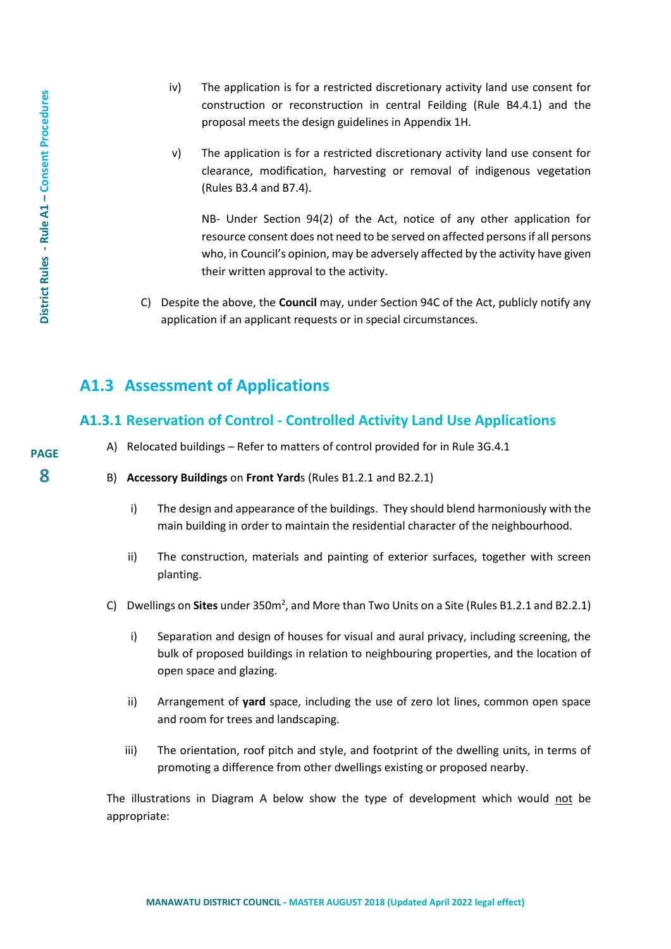- iv) The application is for a restricted discretionary activity land use consent for construction or reconstruction in central Feilding (Rule B4.4.1) and the proposal meets the design guidelines in Appendix 1H.
- v) The application is for a restricted discretionary activity land use consent for clearance, modification, harvesting or removal of indigenous vegetation (Rules B3.4 and B7.4).

NB- Under Section 94(2) of the Act, notice of any other application for resource consent does not need to be served on affected persons if all persons who, in Council's opinion, may be adversely affected by the activity have given their written approval to the activity.

C) Despite the above, the **Council** may, under Section 94C of the Act, publicly notify any application if an applicant requests or in special circumstances.

## <span id="page-11-0"></span>**A1.3 Assessment of Applications**

## <span id="page-11-1"></span>**A1.3.1 Reservation of Control - Controlled Activity Land Use Applications**

- A) Relocated buildings Refer to matters of control provided for in Rule 3G.4.1
- B) **Accessory Buildings** on **Front Yard**s (Rules B1.2.1 and B2.2.1)
	- i) The design and appearance of the buildings. They should blend harmoniously with the main building in order to maintain the residential character of the neighbourhood.
	- ii) The construction, materials and painting of exterior surfaces, together with screen planting.
- C) Dwellings on **Sites** under 350m<sup>2</sup>, and More than Two Units on a Site (Rules B1.2.1 and B2.2.1)
	- i) Separation and design of houses for visual and aural privacy, including screening, the bulk of proposed buildings in relation to neighbouring properties, and the location of open space and glazing.
	- ii) Arrangement of **yard** space, including the use of zero lot lines, common open space and room for trees and landscaping.
	- iii) The orientation, roof pitch and style, and footprint of the dwelling units, in terms of promoting a difference from other dwellings existing or proposed nearby.

The illustrations in Diagram A below show the type of development which would not be appropriate:

**8**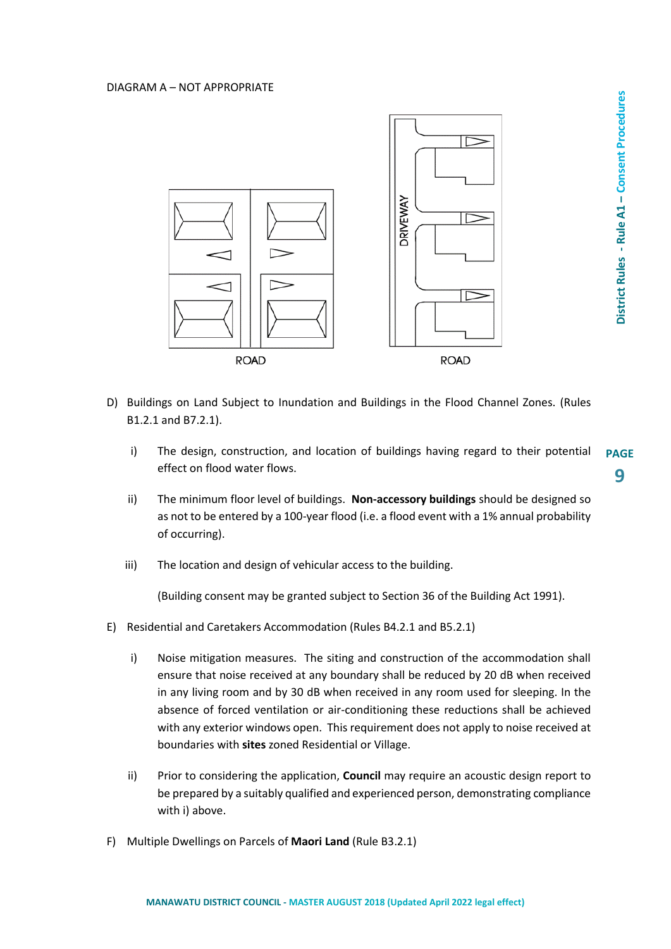

- D) Buildings on Land Subject to Inundation and Buildings in the Flood Channel Zones. (Rules B1.2.1 and B7.2.1).
	- **PAGE** i) The design, construction, and location of buildings having regard to their potential effect on flood water flows.
	- ii) The minimum floor level of buildings. **Non-accessory buildings** should be designed so as not to be entered by a 100-year flood (i.e. a flood event with a 1% annual probability of occurring).
	- iii) The location and design of vehicular access to the building.

(Building consent may be granted subject to Section 36 of the Building Act 1991).

- E) Residential and Caretakers Accommodation (Rules B4.2.1 and B5.2.1)
	- i) Noise mitigation measures. The siting and construction of the accommodation shall ensure that noise received at any boundary shall be reduced by 20 dB when received in any living room and by 30 dB when received in any room used for sleeping. In the absence of forced ventilation or air-conditioning these reductions shall be achieved with any exterior windows open. This requirement does not apply to noise received at boundaries with **sites** zoned Residential or Village.
	- ii) Prior to considering the application, **Council** may require an acoustic design report to be prepared by a suitably qualified and experienced person, demonstrating compliance with i) above.
- F) Multiple Dwellings on Parcels of **Maori Land** (Rule B3.2.1)

**9**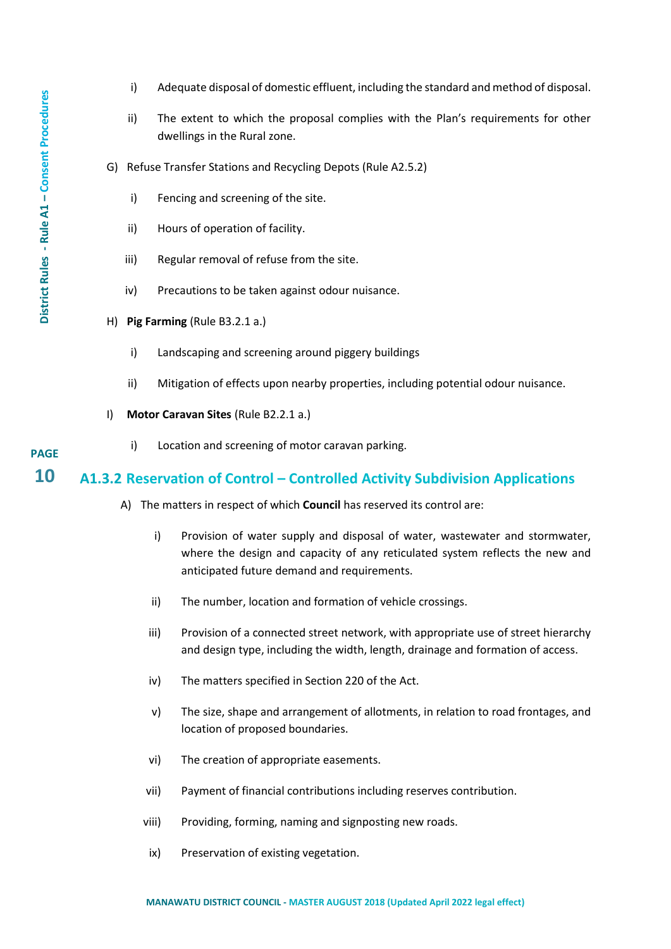- i) Adequate disposal of domestic effluent, including the standard and method of disposal.
- ii) The extent to which the proposal complies with the Plan's requirements for other dwellings in the Rural zone.
- G) Refuse Transfer Stations and Recycling Depots (Rule A2.5.2)
	- i) Fencing and screening of the site.
	- ii) Hours of operation of facility.
	- iii) Regular removal of refuse from the site.
	- iv) Precautions to be taken against odour nuisance.
- H) **Pig Farming** (Rule B3.2.1 a.)
	- i) Landscaping and screening around piggery buildings
	- ii) Mitigation of effects upon nearby properties, including potential odour nuisance.
- I) **Motor Caravan Sites** (Rule B2.2.1 a.)
	- i) Location and screening of motor caravan parking.

#### <span id="page-13-0"></span>**10 A1.3.2 Reservation of Control – Controlled Activity Subdivision Applications**

- A) The matters in respect of which **Council** has reserved its control are:
	- i) Provision of water supply and disposal of water, wastewater and stormwater, where the design and capacity of any reticulated system reflects the new and anticipated future demand and requirements.
	- ii) The number, location and formation of vehicle crossings.
	- iii) Provision of a connected street network, with appropriate use of street hierarchy and design type, including the width, length, drainage and formation of access.
	- iv) The matters specified in Section 220 of the Act.
	- v) The size, shape and arrangement of allotments, in relation to road frontages, and location of proposed boundaries.
	- vi) The creation of appropriate easements.
	- vii) Payment of financial contributions including reserves contribution.
	- viii) Providing, forming, naming and signposting new roads.
	- ix) Preservation of existing vegetation.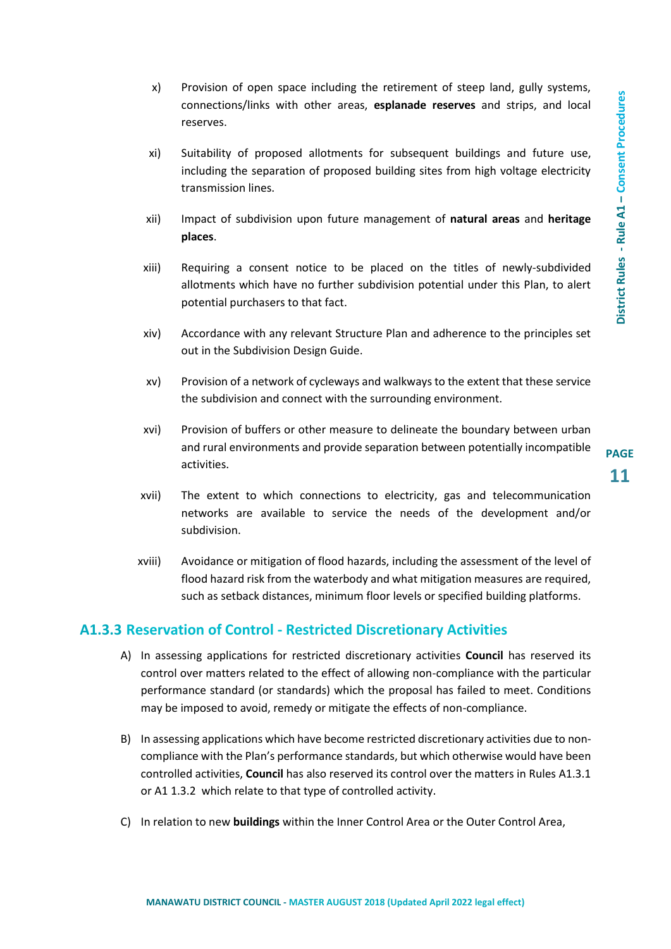**11**

- x) Provision of open space including the retirement of steep land, gully systems, connections/links with other areas, **esplanade reserves** and strips, and local reserves.
- xi) Suitability of proposed allotments for subsequent buildings and future use, including the separation of proposed building sites from high voltage electricity transmission lines.
- xii) Impact of subdivision upon future management of **natural areas** and **heritage places**.
- xiii) Requiring a consent notice to be placed on the titles of newly-subdivided allotments which have no further subdivision potential under this Plan, to alert potential purchasers to that fact.
- xiv) Accordance with any relevant Structure Plan and adherence to the principles set out in the Subdivision Design Guide.
- xv) Provision of a network of cycleways and walkways to the extent that these service the subdivision and connect with the surrounding environment.
- xvi) Provision of buffers or other measure to delineate the boundary between urban and rural environments and provide separation between potentially incompatible activities.
- xvii) The extent to which connections to electricity, gas and telecommunication networks are available to service the needs of the development and/or subdivision.
- xviii) Avoidance or mitigation of flood hazards, including the assessment of the level of flood hazard risk from the waterbody and what mitigation measures are required, such as setback distances, minimum floor levels or specified building platforms.

## <span id="page-14-0"></span>**A1.3.3 Reservation of Control - Restricted Discretionary Activities**

- A) In assessing applications for restricted discretionary activities **Council** has reserved its control over matters related to the effect of allowing non-compliance with the particular performance standard (or standards) which the proposal has failed to meet. Conditions may be imposed to avoid, remedy or mitigate the effects of non-compliance.
- B) In assessing applications which have become restricted discretionary activities due to noncompliance with the Plan's performance standards, but which otherwise would have been controlled activities, **Council** has also reserved its control over the matters in Rules A1.3.1 or A1 1.3.2 which relate to that type of controlled activity.
- C) In relation to new **buildings** within the Inner Control Area or the Outer Control Area,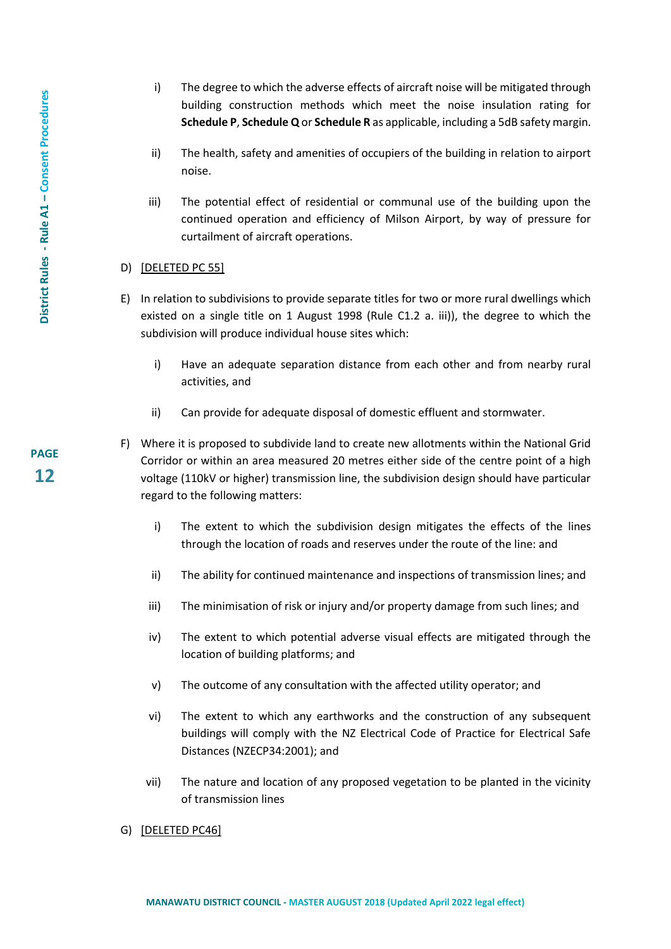- i) The degree to which the adverse effects of aircraft noise will be mitigated through building construction methods which meet the noise insulation rating for **Schedule P**, **Schedule Q**or **Schedule R** as applicable, including a 5dB safety margin.
- ii) The health, safety and amenities of occupiers of the building in relation to airport noise.
- iii) The potential effect of residential or communal use of the building upon the continued operation and efficiency of Milson Airport, by way of pressure for curtailment of aircraft operations.

#### D) [DELETED PC 55]

- E) In relation to subdivisions to provide separate titles for two or more rural dwellings which existed on a single title on 1 August 1998 (Rule C1.2 a. iii)), the degree to which the subdivision will produce individual house sites which:
	- i) Have an adequate separation distance from each other and from nearby rural activities, and
	- ii) Can provide for adequate disposal of domestic effluent and stormwater.
- F) Where it is proposed to subdivide land to create new allotments within the National Grid Corridor or within an area measured 20 metres either side of the centre point of a high voltage (110kV or higher) transmission line, the subdivision design should have particular regard to the following matters:
	- i) The extent to which the subdivision design mitigates the effects of the lines through the location of roads and reserves under the route of the line: and
	- ii) The ability for continued maintenance and inspections of transmission lines; and
	- iii) The minimisation of risk or injury and/or property damage from such lines; and
	- iv) The extent to which potential adverse visual effects are mitigated through the location of building platforms; and
	- v) The outcome of any consultation with the affected utility operator; and
	- vi) The extent to which any earthworks and the construction of any subsequent buildings will comply with the NZ Electrical Code of Practice for Electrical Safe Distances (NZECP34:2001); and
	- vii) The nature and location of any proposed vegetation to be planted in the vicinity of transmission lines
- G) [DELETED PC46]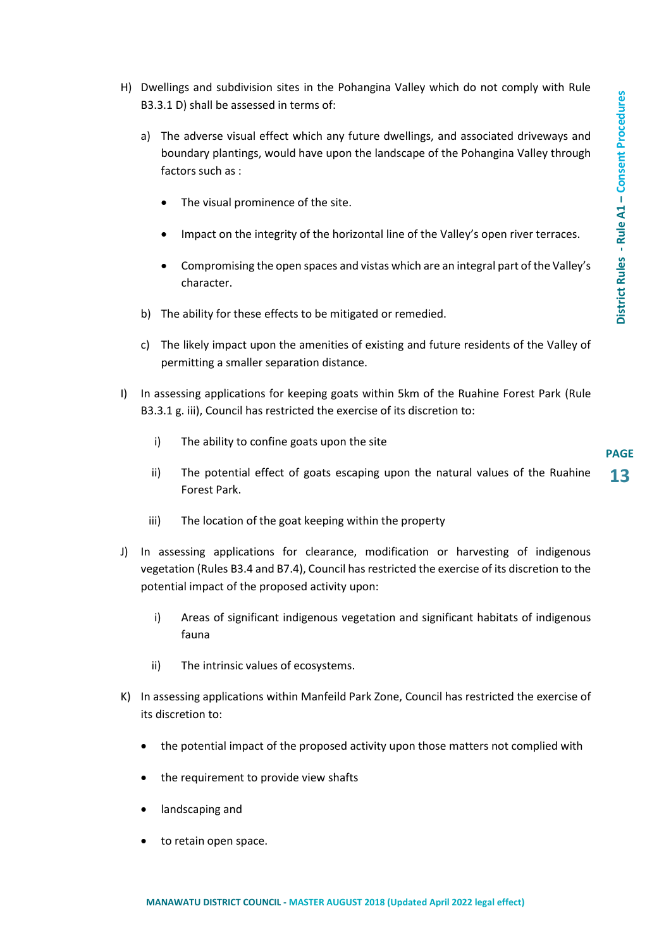- H) Dwellings and subdivision sites in the Pohangina Valley which do not comply with Rule B3.3.1 D) shall be assessed in terms of:
	- a) The adverse visual effect which any future dwellings, and associated driveways and boundary plantings, would have upon the landscape of the Pohangina Valley through factors such as :
		- The visual prominence of the site.
		- Impact on the integrity of the horizontal line of the Valley's open river terraces.
		- Compromising the open spaces and vistas which are an integral part of the Valley's character.
	- b) The ability for these effects to be mitigated or remedied.
	- c) The likely impact upon the amenities of existing and future residents of the Valley of permitting a smaller separation distance.
- I) In assessing applications for keeping goats within 5km of the Ruahine Forest Park (Rule B3.3.1 g. iii), Council has restricted the exercise of its discretion to:
	- i) The ability to confine goats upon the site
	- **13** ii) The potential effect of goats escaping upon the natural values of the Ruahine Forest Park.
	- iii) The location of the goat keeping within the property
- J) In assessing applications for clearance, modification or harvesting of indigenous vegetation (Rules B3.4 and B7.4), Council has restricted the exercise of its discretion to the potential impact of the proposed activity upon:
	- i) Areas of significant indigenous vegetation and significant habitats of indigenous fauna
	- ii) The intrinsic values of ecosystems.
- K) In assessing applications within Manfeild Park Zone, Council has restricted the exercise of its discretion to:
	- the potential impact of the proposed activity upon those matters not complied with
	- the requirement to provide view shafts
	- landscaping and
	- to retain open space.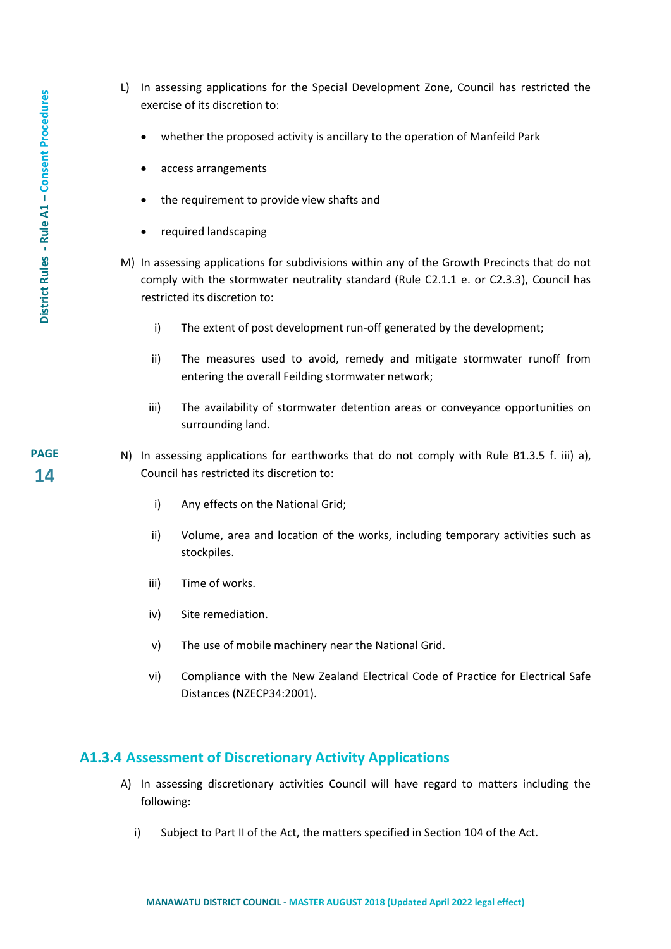- L) In assessing applications for the Special Development Zone, Council has restricted the exercise of its discretion to:
	- whether the proposed activity is ancillary to the operation of Manfeild Park
	- access arrangements
	- the requirement to provide view shafts and
	- required landscaping
- M) In assessing applications for subdivisions within any of the Growth Precincts that do not comply with the stormwater neutrality standard (Rule C2.1.1 e. or C2.3.3), Council has restricted its discretion to:
	- i) The extent of post development run-off generated by the development;
	- ii) The measures used to avoid, remedy and mitigate stormwater runoff from entering the overall Feilding stormwater network;
	- iii) The availability of stormwater detention areas or conveyance opportunities on surrounding land.
- N) In assessing applications for earthworks that do not comply with Rule B1.3.5 f. iii) a), Council has restricted its discretion to:
	- i) Any effects on the National Grid;
	- ii) Volume, area and location of the works, including temporary activities such as stockpiles.
	- iii) Time of works.
	- iv) Site remediation.
	- v) The use of mobile machinery near the National Grid.
	- vi) Compliance with the New Zealand Electrical Code of Practice for Electrical Safe Distances (NZECP34:2001).

## <span id="page-17-0"></span>**A1.3.4 Assessment of Discretionary Activity Applications**

- A) In assessing discretionary activities Council will have regard to matters including the following:
	- i) Subject to Part II of the Act, the matters specified in Section 104 of the Act.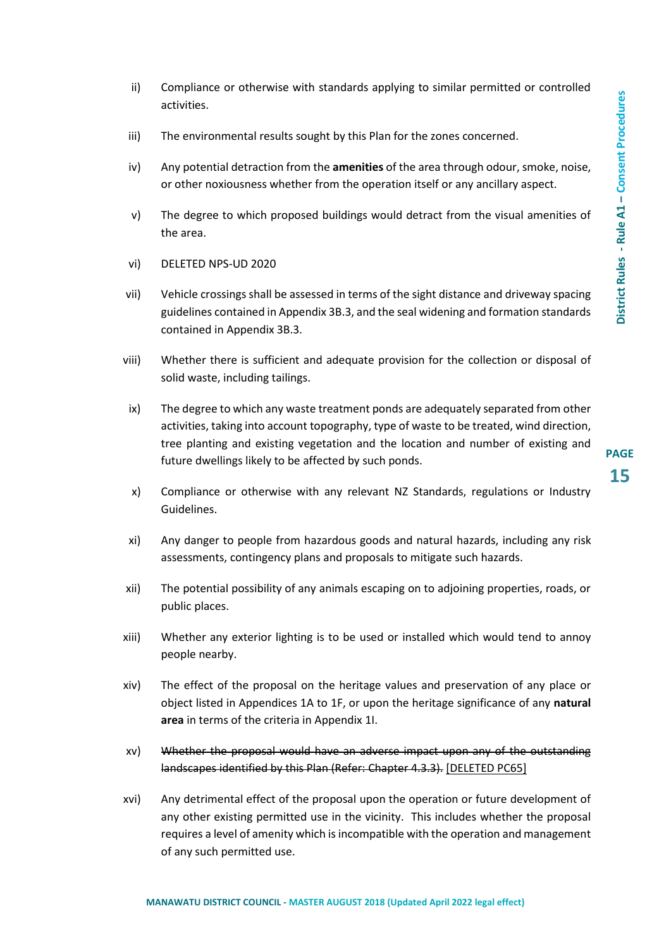- ii) Compliance or otherwise with standards applying to similar permitted or controlled activities.
- iii) The environmental results sought by this Plan for the zones concerned.
- iv) Any potential detraction from the **amenities** of the area through odour, smoke, noise, or other noxiousness whether from the operation itself or any ancillary aspect.
- v) The degree to which proposed buildings would detract from the visual amenities of the area.
- vi) DELETED NPS-UD 2020
- vii) Vehicle crossings shall be assessed in terms of the sight distance and driveway spacing guidelines contained in Appendix 3B.3, and the seal widening and formation standards contained in Appendix 3B.3.
- viii) Whether there is sufficient and adequate provision for the collection or disposal of solid waste, including tailings.
- ix) The degree to which any waste treatment ponds are adequately separated from other activities, taking into account topography, type of waste to be treated, wind direction, tree planting and existing vegetation and the location and number of existing and future dwellings likely to be affected by such ponds.
- **PAGE 15**
- x) Compliance or otherwise with any relevant NZ Standards, regulations or Industry Guidelines.
- xi) Any danger to people from hazardous goods and natural hazards, including any risk assessments, contingency plans and proposals to mitigate such hazards.
- xii) The potential possibility of any animals escaping on to adjoining properties, roads, or public places.
- xiii) Whether any exterior lighting is to be used or installed which would tend to annoy people nearby.
- xiv) The effect of the proposal on the heritage values and preservation of any place or object listed in Appendices 1A to 1F, or upon the heritage significance of any **natural area** in terms of the criteria in Appendix 1I.
- xv) Whether the proposal would have an adverse impact upon any of the outstanding landscapes identified by this Plan (Refer: Chapter 4.3.3). [DELETED PC65]
- xvi) Any detrimental effect of the proposal upon the operation or future development of any other existing permitted use in the vicinity. This includes whether the proposal requires a level of amenity which is incompatible with the operation and management of any such permitted use.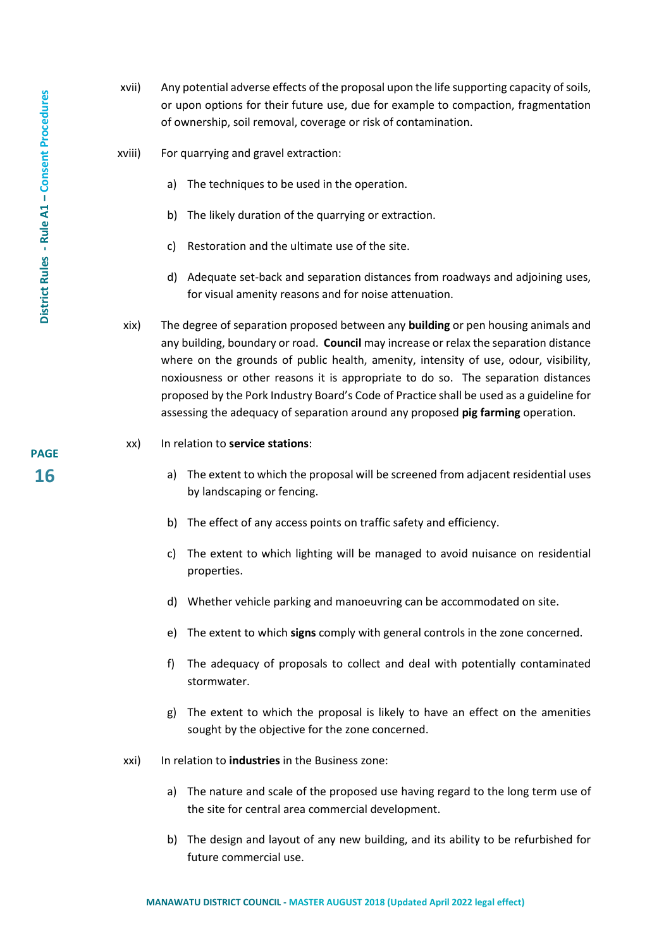- xvii) Any potential adverse effects of the proposal upon the life supporting capacity of soils, or upon options for their future use, due for example to compaction, fragmentation of ownership, soil removal, coverage or risk of contamination.
- xviii) For quarrying and gravel extraction:
	- a) The techniques to be used in the operation.
	- b) The likely duration of the quarrying or extraction.
	- c) Restoration and the ultimate use of the site.
	- d) Adequate set-back and separation distances from roadways and adjoining uses, for visual amenity reasons and for noise attenuation.
- xix) The degree of separation proposed between any **building** or pen housing animals and any building, boundary or road. **Council** may increase or relax the separation distance where on the grounds of public health, amenity, intensity of use, odour, visibility, noxiousness or other reasons it is appropriate to do so. The separation distances proposed by the Pork Industry Board's Code of Practice shall be used as a guideline for assessing the adequacy of separation around any proposed **pig farming** operation.

#### xx) In relation to **service stations**:

- a) The extent to which the proposal will be screened from adjacent residential uses by landscaping or fencing.
- b) The effect of any access points on traffic safety and efficiency.
- c) The extent to which lighting will be managed to avoid nuisance on residential properties.
- d) Whether vehicle parking and manoeuvring can be accommodated on site.
- e) The extent to which **signs** comply with general controls in the zone concerned.
- f) The adequacy of proposals to collect and deal with potentially contaminated stormwater.
- g) The extent to which the proposal is likely to have an effect on the amenities sought by the objective for the zone concerned.
- xxi) In relation to **industries** in the Business zone:
	- a) The nature and scale of the proposed use having regard to the long term use of the site for central area commercial development.
	- b) The design and layout of any new building, and its ability to be refurbished for future commercial use.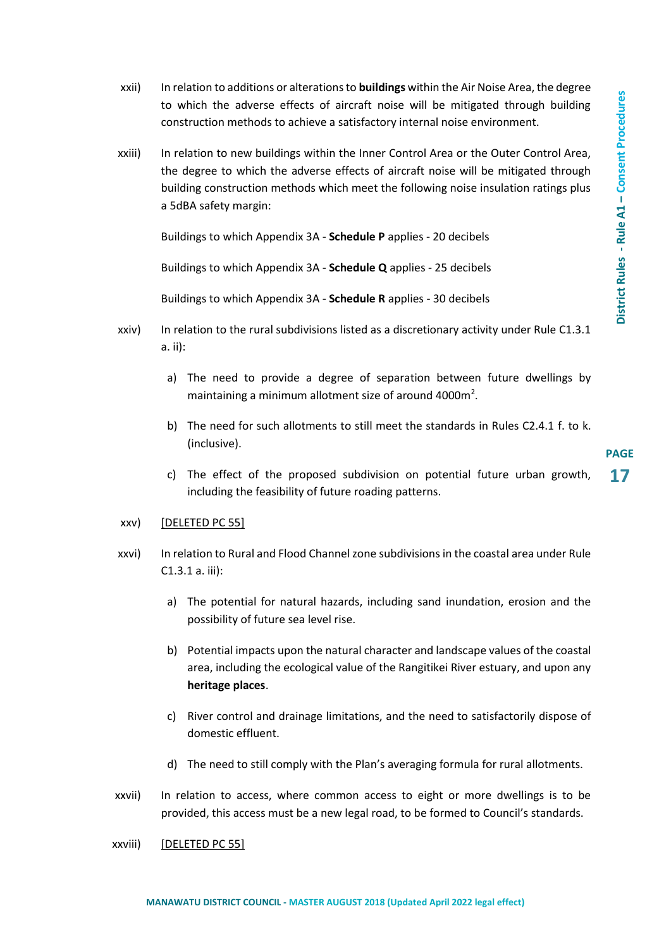- xxii) In relation to additions or alterations to **buildings** within the Air Noise Area, the degree to which the adverse effects of aircraft noise will be mitigated through building construction methods to achieve a satisfactory internal noise environment.
- xxiii) In relation to new buildings within the Inner Control Area or the Outer Control Area, the degree to which the adverse effects of aircraft noise will be mitigated through building construction methods which meet the following noise insulation ratings plus a 5dBA safety margin:

Buildings to which Appendix 3A - **Schedule P** applies - 20 decibels

Buildings to which Appendix 3A - **Schedule Q** applies - 25 decibels

Buildings to which Appendix 3A - **Schedule R** applies - 30 decibels

- xxiv) In relation to the rural subdivisions listed as a discretionary activity under Rule C1.3.1 a. ii):
	- a) The need to provide a degree of separation between future dwellings by maintaining a minimum allotment size of around 4000 $m^2$ .
	- b) The need for such allotments to still meet the standards in Rules C2.4.1 f. to k. (inclusive).

c) The effect of the proposed subdivision on potential future urban growth, including the feasibility of future roading patterns.

#### xxv) [DELETED PC 55]

- xxvi) In relation to Rural and Flood Channel zone subdivisions in the coastal area under Rule C1.3.1 a. iii):
	- a) The potential for natural hazards, including sand inundation, erosion and the possibility of future sea level rise.
	- b) Potential impacts upon the natural character and landscape values of the coastal area, including the ecological value of the Rangitikei River estuary, and upon any **heritage places**.
	- c) River control and drainage limitations, and the need to satisfactorily dispose of domestic effluent.
	- d) The need to still comply with the Plan's averaging formula for rural allotments.
- xxvii) In relation to access, where common access to eight or more dwellings is to be provided, this access must be a new legal road, to be formed to Council's standards.
- xxviii) [DELETED PC 55]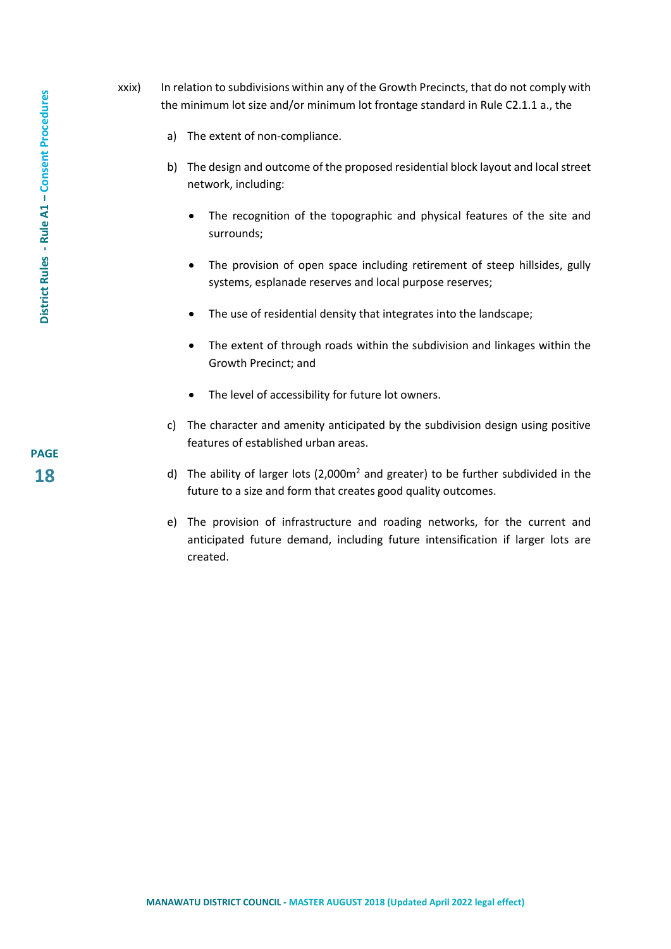- xxix) In relation to subdivisions within any of the Growth Precincts, that do not comply with the minimum lot size and/or minimum lot frontage standard in Rule C2.1.1 a., the
	- a) The extent of non-compliance.
	- b) The design and outcome of the proposed residential block layout and local street network, including:
		- The recognition of the topographic and physical features of the site and surrounds;
		- The provision of open space including retirement of steep hillsides, gully systems, esplanade reserves and local purpose reserves;
		- The use of residential density that integrates into the landscape;
		- The extent of through roads within the subdivision and linkages within the Growth Precinct; and
		- The level of accessibility for future lot owners.
	- c) The character and amenity anticipated by the subdivision design using positive features of established urban areas.
	- d) The ability of larger lots  $(2,000m^2$  and greater) to be further subdivided in the future to a size and form that creates good quality outcomes.
	- e) The provision of infrastructure and roading networks, for the current and anticipated future demand, including future intensification if larger lots are created.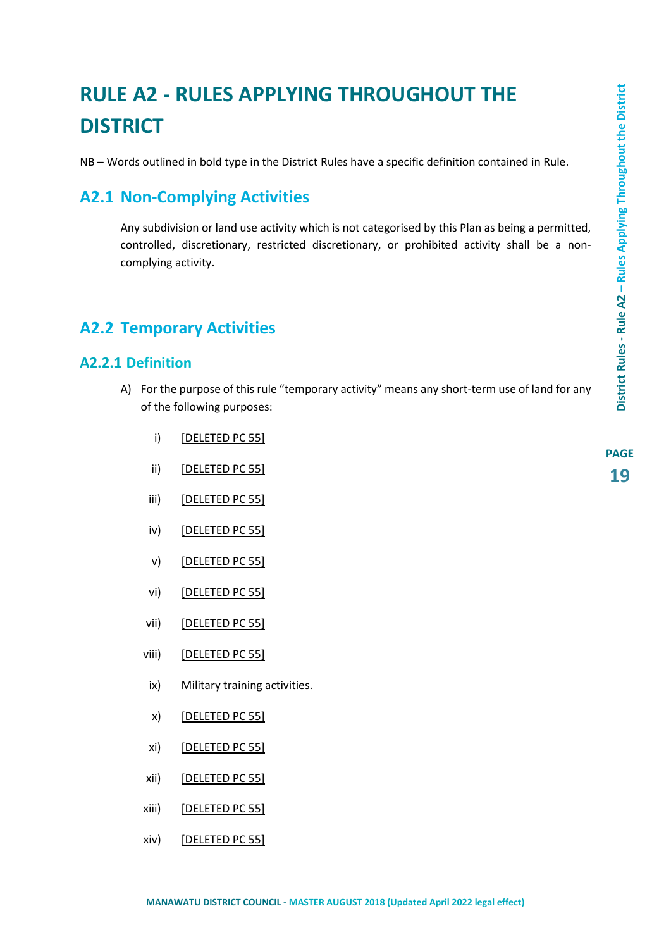# <span id="page-22-0"></span>**RULE A2 - RULES APPLYING THROUGHOUT THE DISTRICT**

NB – Words outlined in bold type in the District Rules have a specific definition contained in Rule.

## <span id="page-22-1"></span>**A2.1 Non-Complying Activities**

Any subdivision or land use activity which is not categorised by this Plan as being a permitted, controlled, discretionary, restricted discretionary, or prohibited activity shall be a noncomplying activity.

## <span id="page-22-2"></span>**A2.2 Temporary Activities**

### <span id="page-22-3"></span>**A2.2.1 Definition**

- A) For the purpose of this rule "temporary activity" means any short-term use of land for any of the following purposes:
	- i) [DELETED PC 55]
	- ii) [DELETED PC 55]
	- iii) [DELETED PC 55]
	- iv) [DELETED PC 55]
	- v) [DELETED PC 55]
	- vi) [DELETED PC 55]
	- vii) [DELETED PC 55]
	- viii) [DELETED PC 55]
	- ix) Military training activities.
	- x) [DELETED PC 55]
	- xi) [DELETED PC 55]
	- xii) [DELETED PC 55]
	- xiii) [DELETED PC 55]
	- xiv) [DELETED PC 55]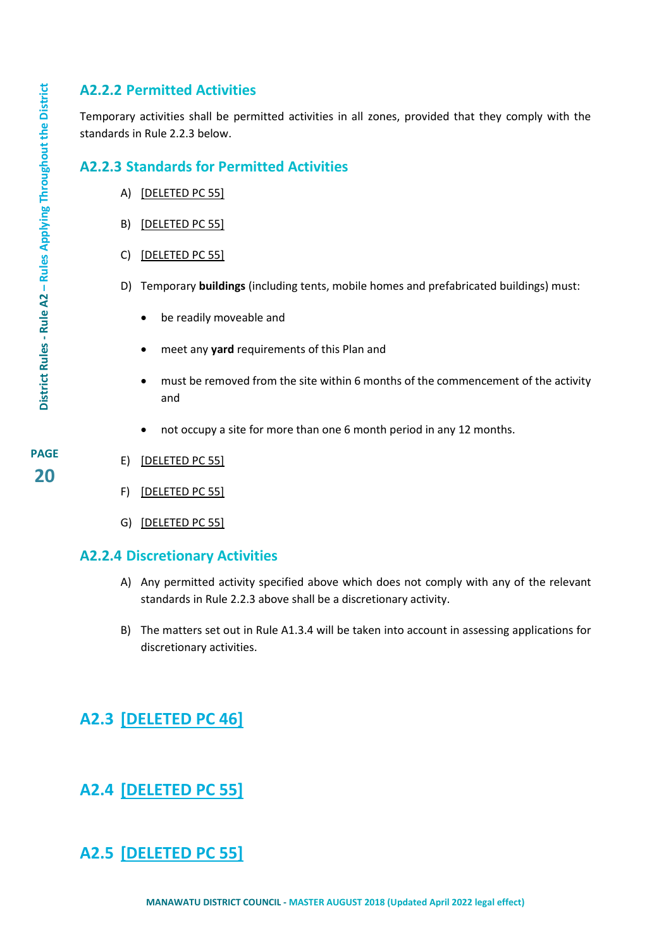## <span id="page-23-0"></span>**A2.2.2 Permitted Activities**

Temporary activities shall be permitted activities in all zones, provided that they comply with the standards in Rule 2.2.3 below.

## <span id="page-23-1"></span>**A2.2.3 Standards for Permitted Activities**

- A) [DELETED PC 55]
- B) [DELETED PC 55]
- C) [DELETED PC 55]
- D) Temporary **buildings** (including tents, mobile homes and prefabricated buildings) must:
	- be readily moveable and
	- meet any **yard** requirements of this Plan and
	- must be removed from the site within 6 months of the commencement of the activity and
	- not occupy a site for more than one 6 month period in any 12 months.
- E) [DELETED PC 55]
- F) [DELETED PC 55]
- G) [DELETED PC 55]

## <span id="page-23-2"></span>**A2.2.4 Discretionary Activities**

- A) Any permitted activity specified above which does not comply with any of the relevant standards in Rule 2.2.3 above shall be a discretionary activity.
- B) The matters set out in Rule A1.3.4 will be taken into account in assessing applications for discretionary activities.

## <span id="page-23-3"></span>**A2.3 [DELETED PC 46]**

## <span id="page-23-4"></span>**A2.4 [DELETED PC 55]**

## <span id="page-23-5"></span>**A2.5 [DELETED PC 55]**